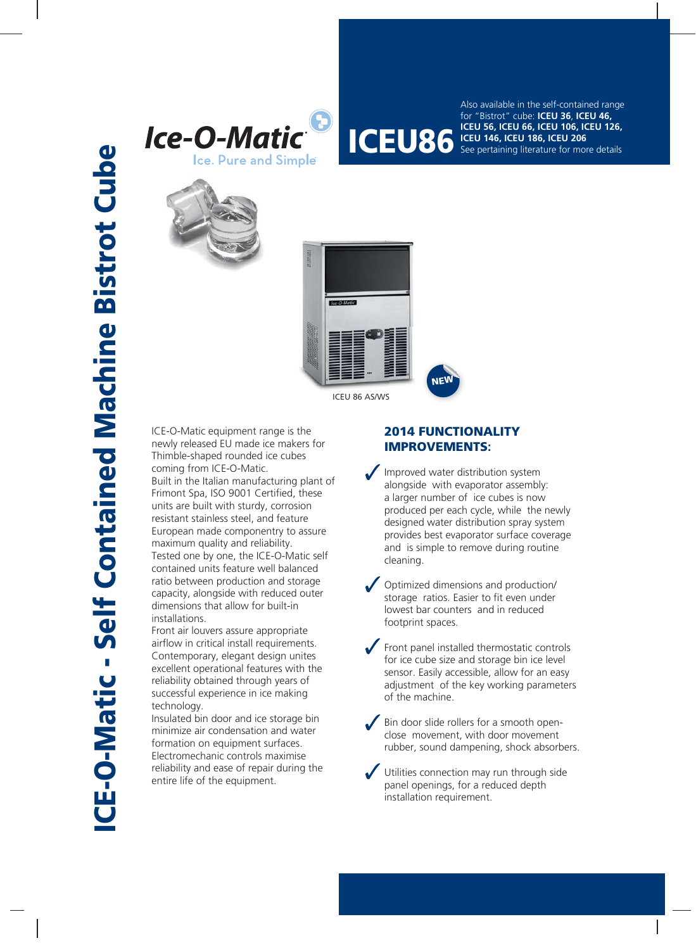





ICEU 86 AS/WS

ICE-O-Matic equipment range is the newly released EU made ice makers for Thimble-shaped rounded ice cubes coming from ICE-O-Matic. Built in the Italian manufacturing plant of Frimont Spa, ISO 9001 Certified, these units are built with sturdy, corrosion resistant stainless steel, and feature European made componentry to assure maximum quality and reliability. Tested one by one, the ICE-O-Matic self contained units feature well balanced ratio between production and storage capacity, alongside with reduced outer dimensions that allow for built-in installations.

Front air louvers assure appropriate airflow in critical install requirements. Contemporary, elegant design unites excellent operational features with the reliability obtained through years of successful experience in ice making technology.

Insulated bin door and ice storage bin minimize air condensation and water formation on equipment surfaces. Electromechanic controls maximise reliability and ease of repair during the entire life of the equipment.

## **2014 FUNCTIONALITY FUNCTIONAL IMPROVEMENTS:**

Improved water distribution system alongside with evaporator assembly: a larger number of ice cubes is now produced per each cycle, while the newly designed water distribution spray system provides best evaporator surface coverage and is simple to remove during routine cleaning.

**ICEU 56, ICEU 66, ICEU 106, ICEU 126,**<br>**ICEU 86 ICEU 146, ICEU 186, ICEU 206**<br>See pertaining literature for more details

Also available in the self-contained range for "Bistrot" cube: **ICEU 36**, **ICEU 46,** 

See pertaining literature for more details

**ICEU 146, ICEU 186, ICEU 206**

- Optimized dimensions and production/ storage ratios. Easier to fit even under lowest bar counters and in reduced footprint spaces.
- Front panel installed thermostatic controls for ice cube size and storage bin ice level sensor. Easily accessible, allow for an easy adjustment of the key working parameters of the machine.
- Bin door slide rollers for a smooth openclose movement, with door movement rubber, sound dampening, shock absorbers.

Utilities connection may run through side panel openings, for a reduced depth installation requirement.